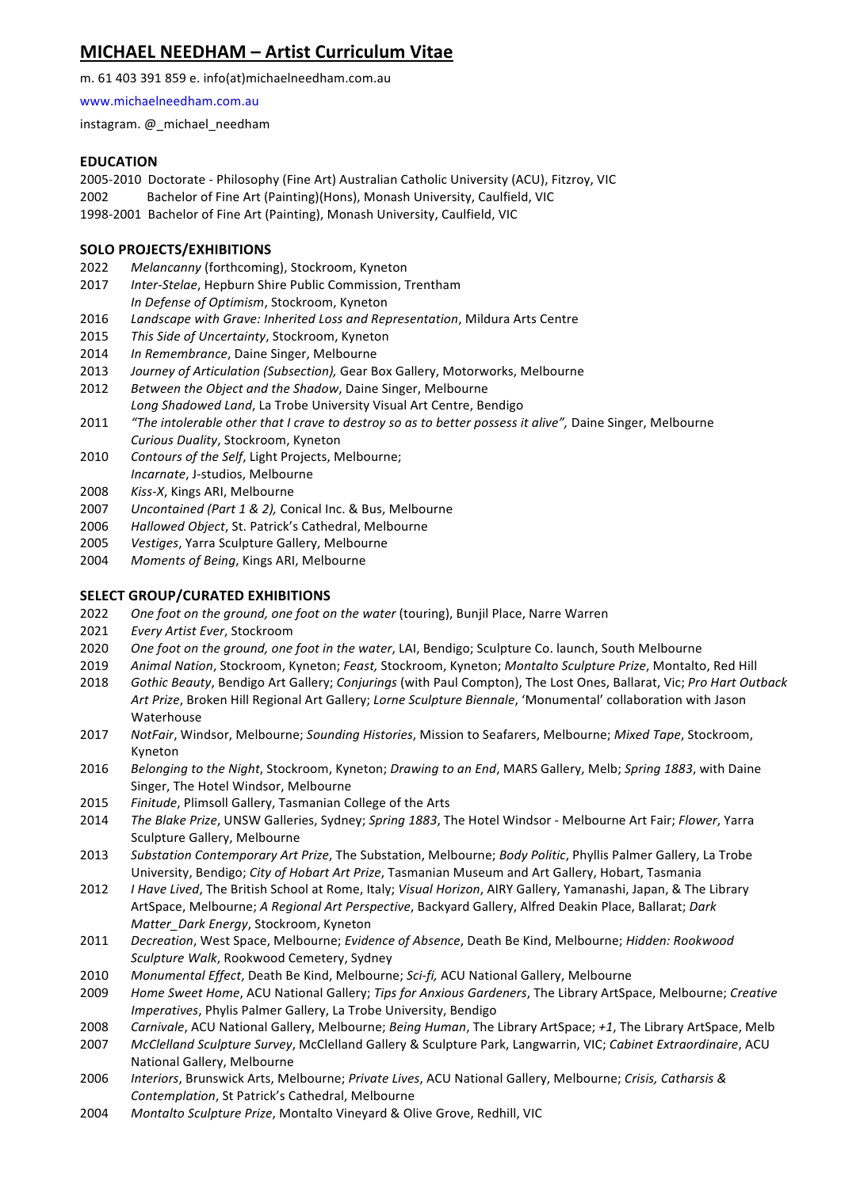# **MICHAEL NEEDHAM – Artist Curriculum Vitae**

m. 61 403 391 859 e. info(at)michaelneedham.com.au

www.michaelneedham.com.au

instagram. @\_michael\_needham

# **EDUCATION**

2005-2010 Doctorate - Philosophy (Fine Art) Australian Catholic University (ACU), Fitzroy, VIC

- 2002 Bachelor of Fine Art (Painting)(Hons), Monash University, Caulfield, VIC
- 1998-2001 Bachelor of Fine Art (Painting), Monash University, Caulfield, VIC

# **SOLO PROJECTS/EXHIBITIONS**

- 2022 Melancanny (forthcoming), Stockroom, Kyneton
- 2017 *Inter-Stelae*, Hepburn Shire Public Commission, Trentham *In Defense of Optimism*, Stockroom, Kyneton
- 2016 *Landscape with Grave: Inherited Loss and Representation*, Mildura Arts Centre
- 2015 *This Side of Uncertainty*, Stockroom, Kyneton
- 2014 *In Remembrance*, Daine Singer, Melbourne
- 2013 *Journey of Articulation (Subsection),* Gear Box Gallery, Motorworks, Melbourne
- 2012 Between the Object and the Shadow, Daine Singer, Melbourne
- Long Shadowed Land, La Trobe University Visual Art Centre, Bendigo
- 2011 "The intolerable other that I crave to destroy so as to better possess it alive", Daine Singer, Melbourne *Curious Duality*, Stockroom, Kyneton
- 2010 Contours of the Self, Light Projects, Melbourne; *Incarnate*, J-studios, Melbourne
- 2008 Kiss-X, Kings ARI, Melbourne
- 2007 Uncontained (Part 1 & 2), Conical Inc. & Bus, Melbourne
- 2006 Hallowed Object, St. Patrick's Cathedral, Melbourne
- 2005 Vestiges, Yarra Sculpture Gallery, Melbourne
- 2004 Moments of Being, Kings ARI, Melbourne

# **SELECT GROUP/CURATED EXHIBITIONS**

- 2022 *One foot on the ground, one foot on the water* (touring), Bunjil Place, Narre Warren
- 2021 *Every Artist Ever*, Stockroom
- 2020 *One foot on the ground, one foot in the water*, LAI, Bendigo; Sculpture Co. launch, South Melbourne
- 2019 Animal Nation, Stockroom, Kyneton; Feast, Stockroom, Kyneton; Montalto Sculpture Prize, Montalto, Red Hill
- 2018 *Gothic Beauty*, Bendigo Art Gallery; *Conjurings* (with Paul Compton), The Lost Ones, Ballarat, Vic; Pro Hart Outback Art Prize, Broken Hill Regional Art Gallery; *Lorne Sculpture Biennale*, 'Monumental' collaboration with Jason Waterhouse
- 2017 NotFair, Windsor, Melbourne; Sounding Histories, Mission to Seafarers, Melbourne; Mixed Tape, Stockroom, Kyneton
- 2016 *Belonging to the Night, Stockroom, Kyneton; Drawing to an End, MARS Gallery, Melb; Spring 1883, with Daine* Singer, The Hotel Windsor, Melbourne
- 2015 Finitude, Plimsoll Gallery, Tasmanian College of the Arts
- 2014 The Blake Prize, UNSW Galleries, Sydney; Spring 1883, The Hotel Windsor Melbourne Art Fair; Flower, Yarra Sculpture Gallery, Melbourne
- 2013 Substation Contemporary Art Prize, The Substation, Melbourne; Body Politic, Phyllis Palmer Gallery, La Trobe University, Bendigo; *City of Hobart Art Prize*, Tasmanian Museum and Art Gallery, Hobart, Tasmania
- 2012 *I Have Lived*, The British School at Rome, Italy; *Visual Horizon*, AIRY Gallery, Yamanashi, Japan, & The Library ArtSpace, Melbourne; *A Regional Art Perspective*, Backyard Gallery, Alfred Deakin Place, Ballarat; *Dark Matter\_Dark Energy*, Stockroom, Kyneton
- 2011 *Decreation*, West Space, Melbourne; *Evidence of Absence*, Death Be Kind, Melbourne; *Hidden: Rookwood Sculpture Walk*, Rookwood Cemetery, Sydney
- 2010 Monumental Effect, Death Be Kind, Melbourne; Sci-fi, ACU National Gallery, Melbourne
- 2009 Home Sweet Home, ACU National Gallery; Tips for Anxious Gardeners, The Library ArtSpace, Melbourne; Creative *Imperatives*, Phylis Palmer Gallery, La Trobe University, Bendigo
- 2008 *Carnivale*, ACU National Gallery, Melbourne; *Being Human*, The Library ArtSpace; +1, The Library ArtSpace, Melb
- 2007 McClelland Sculpture Survey, McClelland Gallery & Sculpture Park, Langwarrin, VIC; Cabinet Extraordinaire, ACU National Gallery, Melbourne
- 2006 *Interiors, Brunswick Arts, Melbourne; Private Lives, ACU National Gallery, Melbourne; Crisis, Catharsis & Contemplation*, St Patrick's Cathedral, Melbourne
- 2004 Montalto Sculpture Prize, Montalto Vineyard & Olive Grove, Redhill, VIC